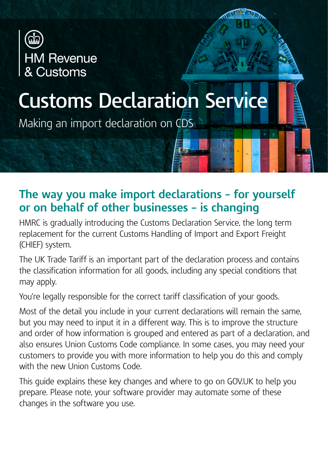

# **Customs Declaration Service**

Making an import declaration on CDS

## **The way you make import declarations – for yourself or on behalf of other businesses – is changing**

HMRC is gradually introducing the Customs Declaration Service, the long term replacement for the current Customs Handling of Import and Export Freight (CHIEF) system.

The UK Trade Tariff is an important part of the declaration process and contains the classification information for all goods, including any special conditions that may apply.

You're legally responsible for the correct tariff classification of your goods.

Most of the detail you include in your current declarations will remain the same, but you may need to input it in a different way. This is to improve the structure and order of how information is grouped and entered as part of a declaration, and also ensures Union Customs Code compliance. In some cases, you may need your customers to provide you with more information to help you do this and comply with the new Union Customs Code.

This guide explains these key changes and where to go on GOV.UK to help you prepare. Please note, your software provider may automate some of these changes in the software you use.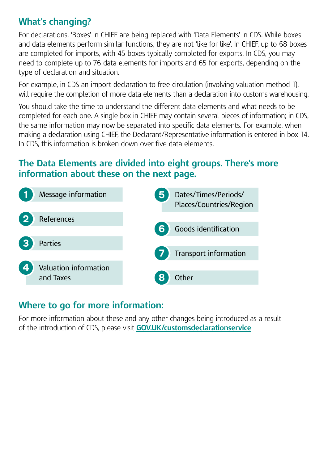### **What's changing?**

For declarations, 'Boxes' in CHIEF are being replaced with 'Data Elements' in CDS. While boxes and data elements perform similar functions, they are not 'like for like'. In CHIEF, up to 68 boxes are completed for imports, with 45 boxes typically completed for exports. In CDS, you may need to complete up to 76 data elements for imports and 65 for exports, depending on the type of declaration and situation.

For example, in CDS an import declaration to free circulation (involving valuation method 1), will require the completion of more data elements than a declaration into customs warehousing.

You should take the time to understand the different data elements and what needs to be completed for each one. A single box in CHIEF may contain several pieces of information; in CDS, the same information may now be separated into specific data elements. For example, when making a declaration using CHIEF, the Declarant/Representative information is entered in box 14. In CDS, this information is broken down over five data elements.

#### **The Data Elements are divided into eight groups. There's more information about these on the next page.**



#### **Where to go for more information:**

For more information about these and any other changes being introduced as a result of the introduction of CDS, please visit **[GOV.UK/customsdeclarationservice](http://GOV.UK/customsdeclarationservice)**